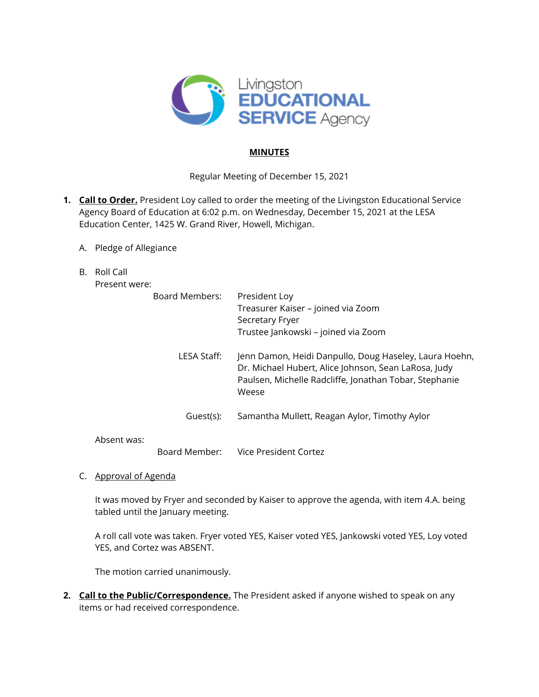

## **MINUTES**

Regular Meeting of December 15, 2021

- **1. Call to Order.** President Loy called to order the meeting of the Livingston Educational Service Agency Board of Education at 6:02 p.m. on Wednesday, December 15, 2021 at the LESA Education Center, 1425 W. Grand River, Howell, Michigan.
	- A. Pledge of Allegiance
	- B. Roll Call

Present were:

|             | Board Members:                                                                                                 | President Loy                                          |
|-------------|----------------------------------------------------------------------------------------------------------------|--------------------------------------------------------|
|             |                                                                                                                | Treasurer Kaiser – joined via Zoom                     |
|             |                                                                                                                | Secretary Fryer                                        |
|             |                                                                                                                | Trustee Jankowski - joined via Zoom                    |
|             | LESA Staff:                                                                                                    | Jenn Damon, Heidi Danpullo, Doug Haseley, Laura Hoehn, |
|             | Dr. Michael Hubert, Alice Johnson, Sean LaRosa, Judy<br>Paulsen, Michelle Radcliffe, Jonathan Tobar, Stephanie |                                                        |
|             | Weese                                                                                                          |                                                        |
|             | Guest(s):                                                                                                      | Samantha Mullett, Reagan Aylor, Timothy Aylor          |
| Absent was: |                                                                                                                |                                                        |

Board Member: Vice President Cortez

C. Approval of Agenda

It was moved by Fryer and seconded by Kaiser to approve the agenda, with item 4.A. being tabled until the January meeting.

A roll call vote was taken. Fryer voted YES, Kaiser voted YES, Jankowski voted YES, Loy voted YES, and Cortez was ABSENT.

The motion carried unanimously.

**2. Call to the Public/Correspondence.** The President asked if anyone wished to speak on any items or had received correspondence.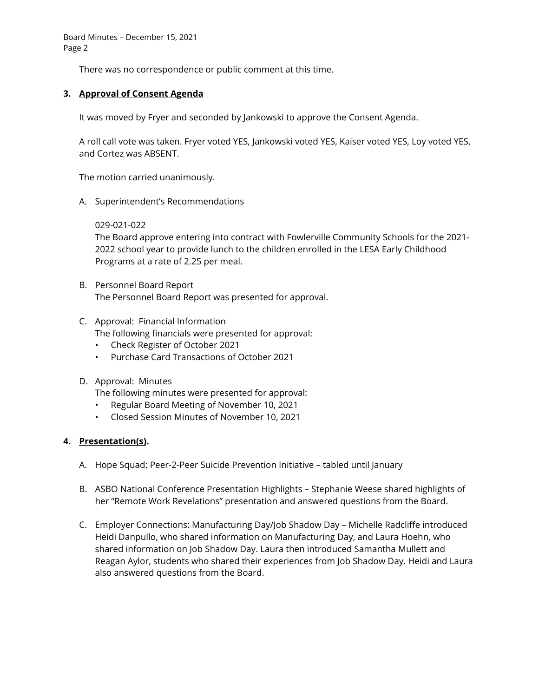Board Minutes – December 15, 2021 Page 2

There was no correspondence or public comment at this time.

## **3. Approval of Consent Agenda**

It was moved by Fryer and seconded by Jankowski to approve the Consent Agenda.

A roll call vote was taken. Fryer voted YES, Jankowski voted YES, Kaiser voted YES, Loy voted YES, and Cortez was ABSENT.

The motion carried unanimously.

A. Superintendent's Recommendations

#### 029-021-022

The Board approve entering into contract with Fowlerville Community Schools for the 2021- 2022 school year to provide lunch to the children enrolled in the LESA Early Childhood Programs at a rate of 2.25 per meal.

- B. Personnel Board Report The Personnel Board Report was presented for approval.
- C. Approval: Financial Information The following financials were presented for approval:
	- Check Register of October 2021
	- Purchase Card Transactions of October 2021
- D. Approval: Minutes

The following minutes were presented for approval:

- Regular Board Meeting of November 10, 2021
- Closed Session Minutes of November 10, 2021

## **4. Presentation(s).**

- A. Hope Squad: Peer-2-Peer Suicide Prevention Initiative tabled until January
- B. ASBO National Conference Presentation Highlights Stephanie Weese shared highlights of her "Remote Work Revelations" presentation and answered questions from the Board.
- C. Employer Connections: Manufacturing Day/Job Shadow Day Michelle Radcliffe introduced Heidi Danpullo, who shared information on Manufacturing Day, and Laura Hoehn, who shared information on Job Shadow Day. Laura then introduced Samantha Mullett and Reagan Aylor, students who shared their experiences from Job Shadow Day. Heidi and Laura also answered questions from the Board.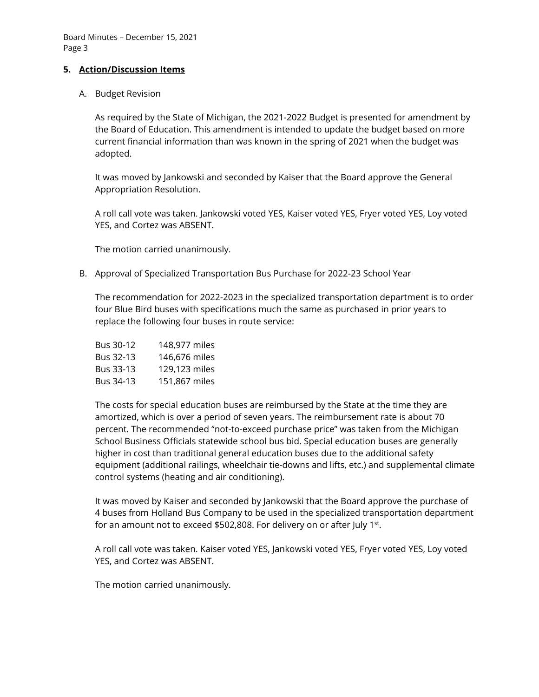Board Minutes – December 15, 2021 Page 3

#### **5. Action/Discussion Items**

#### A. Budget Revision

As required by the State of Michigan, the 2021-2022 Budget is presented for amendment by the Board of Education. This amendment is intended to update the budget based on more current financial information than was known in the spring of 2021 when the budget was adopted.

It was moved by Jankowski and seconded by Kaiser that the Board approve the General Appropriation Resolution.

A roll call vote was taken. Jankowski voted YES, Kaiser voted YES, Fryer voted YES, Loy voted YES, and Cortez was ABSENT.

The motion carried unanimously.

B. Approval of Specialized Transportation Bus Purchase for 2022-23 School Year

The recommendation for 2022-2023 in the specialized transportation department is to order four Blue Bird buses with specifications much the same as purchased in prior years to replace the following four buses in route service:

| <b>Bus 30-12</b> | 148,977 miles |
|------------------|---------------|
| Bus 32-13        | 146,676 miles |
| Bus 33-13        | 129,123 miles |
| <b>Bus 34-13</b> | 151,867 miles |

The costs for special education buses are reimbursed by the State at the time they are amortized, which is over a period of seven years. The reimbursement rate is about 70 percent. The recommended "not-to-exceed purchase price" was taken from the Michigan School Business Officials statewide school bus bid. Special education buses are generally higher in cost than traditional general education buses due to the additional safety equipment (additional railings, wheelchair tie-downs and lifts, etc.) and supplemental climate control systems (heating and air conditioning).

It was moved by Kaiser and seconded by Jankowski that the Board approve the purchase of 4 buses from Holland Bus Company to be used in the specialized transportation department for an amount not to exceed \$502,808. For delivery on or after July 1st.

A roll call vote was taken. Kaiser voted YES, Jankowski voted YES, Fryer voted YES, Loy voted YES, and Cortez was ABSENT.

The motion carried unanimously.